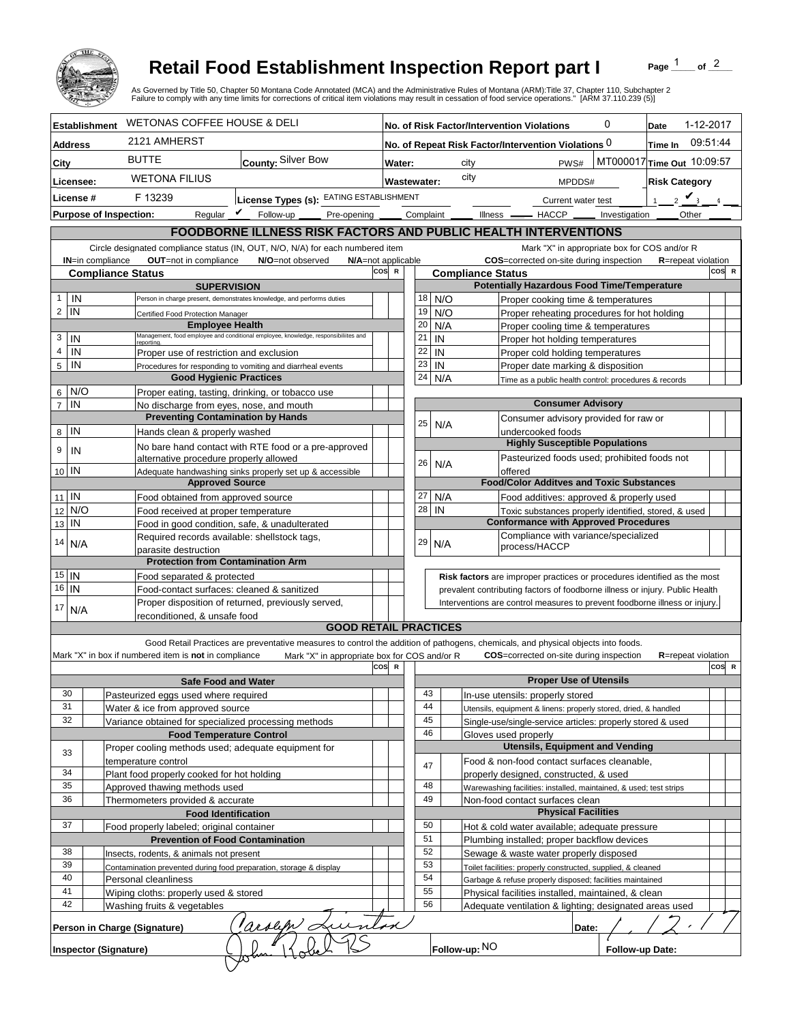

## **Retail Food Establishment Inspection Report part I**

Page  $\frac{1}{1}$  of  $\frac{2}{1}$ 

|                                                                                                                                                                              |                      |                                                                   | <b>Retail Food Establishment Inspection Report part I</b><br>As Governed by Title 50, Chapter 50 Montana Code Annotated (MCA) and the Administrative Rules of Montana (ARM):Title 37, Chapter 110, Subchapter 2<br>Failure to comply with any time limits for corrections of critical item violations may result in cessation of food service operations." [ARM 37.110.239 (5)] |     |                          |                                                                            |                                             |                                                                                                                               |                 | Page                       | of $^2$   |       |
|------------------------------------------------------------------------------------------------------------------------------------------------------------------------------|----------------------|-------------------------------------------------------------------|---------------------------------------------------------------------------------------------------------------------------------------------------------------------------------------------------------------------------------------------------------------------------------------------------------------------------------------------------------------------------------|-----|--------------------------|----------------------------------------------------------------------------|---------------------------------------------|-------------------------------------------------------------------------------------------------------------------------------|-----------------|----------------------------|-----------|-------|
|                                                                                                                                                                              | <b>Establishment</b> | <b>WETONAS COFFEE HOUSE &amp; DELI</b>                            |                                                                                                                                                                                                                                                                                                                                                                                 |     |                          |                                                                            |                                             | No. of Risk Factor/Intervention Violations                                                                                    | 0               | Date                       | 1-12-2017 |       |
| <b>Address</b>                                                                                                                                                               |                      | 2121 AMHERST                                                      |                                                                                                                                                                                                                                                                                                                                                                                 |     |                          |                                                                            |                                             | No. of Repeat Risk Factor/Intervention Violations 0                                                                           |                 | Time In                    | 09:51:44  |       |
| City                                                                                                                                                                         |                      | <b>BUTTE</b>                                                      | County: Silver Bow                                                                                                                                                                                                                                                                                                                                                              |     | Water:                   |                                                                            | city                                        | PWS#                                                                                                                          |                 | MT000017 Time Out 10:09:57 |           |       |
| Licensee:                                                                                                                                                                    |                      | <b>WETONA FILIUS</b>                                              |                                                                                                                                                                                                                                                                                                                                                                                 |     | <b>Wastewater:</b>       |                                                                            | city                                        | MPDDS#                                                                                                                        |                 | <b>Risk Category</b>       |           |       |
| License #                                                                                                                                                                    |                      | F 13239                                                           | License Types (s): EATING ESTABLISHMENT                                                                                                                                                                                                                                                                                                                                         |     |                          |                                                                            |                                             |                                                                                                                               |                 | $2 \vee$                   |           |       |
|                                                                                                                                                                              |                      | Regular $\mathbf{\mathcal{V}}$<br><b>Purpose of Inspection:</b>   | Follow-up<br>Pre-opening                                                                                                                                                                                                                                                                                                                                                        |     | Complaint                |                                                                            | $Ilness$ $-$                                | Current water test<br>$-$ HACCP $\_\_$                                                                                        | Investigation   | Other                      |           |       |
|                                                                                                                                                                              |                      |                                                                   |                                                                                                                                                                                                                                                                                                                                                                                 |     |                          |                                                                            |                                             |                                                                                                                               |                 |                            |           |       |
|                                                                                                                                                                              |                      |                                                                   | FOODBORNE ILLNESS RISK FACTORS AND PUBLIC HEALTH INTERVENTIONS                                                                                                                                                                                                                                                                                                                  |     |                          |                                                                            |                                             | Mark "X" in appropriate box for COS and/or R                                                                                  |                 |                            |           |       |
| Circle designated compliance status (IN, OUT, N/O, N/A) for each numbered item<br>OUT=not in compliance<br><b>IN=in compliance</b><br>N/O=not observed<br>N/A=not applicable |                      |                                                                   |                                                                                                                                                                                                                                                                                                                                                                                 |     |                          |                                                                            |                                             | COS=corrected on-site during inspection                                                                                       |                 | <b>R</b> =repeat violation |           |       |
|                                                                                                                                                                              |                      | <b>Compliance Status</b>                                          |                                                                                                                                                                                                                                                                                                                                                                                 | cos | $\mathbf R$              |                                                                            | <b>Compliance Status</b>                    |                                                                                                                               |                 |                            |           | COS R |
|                                                                                                                                                                              |                      |                                                                   | <b>SUPERVISION</b>                                                                                                                                                                                                                                                                                                                                                              |     |                          |                                                                            |                                             | <b>Potentially Hazardous Food Time/Temperature</b>                                                                            |                 |                            |           |       |
| IN<br>$\mathbf{1}$<br>$\overline{2}$<br>IN                                                                                                                                   |                      |                                                                   | Person in charge present, demonstrates knowledge, and performs duties                                                                                                                                                                                                                                                                                                           |     |                          | 18<br>19                                                                   | N/O<br>N/O                                  | Proper cooking time & temperatures                                                                                            |                 |                            |           |       |
|                                                                                                                                                                              |                      | Certified Food Protection Manager                                 | <b>Employee Health</b>                                                                                                                                                                                                                                                                                                                                                          |     |                          | 20                                                                         | N/A                                         | Proper reheating procedures for hot holding<br>Proper cooling time & temperatures                                             |                 |                            |           |       |
| $\mathbf 3$<br>IN                                                                                                                                                            |                      | <b>reporting</b>                                                  | Management, food employee and conditional employee, knowledge, responsibiliites and                                                                                                                                                                                                                                                                                             |     |                          | 21                                                                         | IN                                          | Proper hot holding temperatures                                                                                               |                 |                            |           |       |
| $\overline{4}$<br>IN                                                                                                                                                         |                      |                                                                   | Proper use of restriction and exclusion                                                                                                                                                                                                                                                                                                                                         |     |                          | 22                                                                         | IN                                          | Proper cold holding temperatures                                                                                              |                 |                            |           |       |
| $\overline{5}$<br>IN                                                                                                                                                         |                      | Procedures for responding to vomiting and diarrheal events        |                                                                                                                                                                                                                                                                                                                                                                                 |     |                          | 23                                                                         | IN                                          | Proper date marking & disposition                                                                                             |                 |                            |           |       |
|                                                                                                                                                                              |                      |                                                                   | <b>Good Hygienic Practices</b>                                                                                                                                                                                                                                                                                                                                                  |     |                          | 24                                                                         | N/A                                         | Time as a public health control: procedures & records                                                                         |                 |                            |           |       |
| 6<br>$\overline{7}$<br>IN                                                                                                                                                    | N/O                  |                                                                   | Proper eating, tasting, drinking, or tobacco use<br>No discharge from eyes, nose, and mouth                                                                                                                                                                                                                                                                                     |     |                          |                                                                            |                                             | <b>Consumer Advisory</b>                                                                                                      |                 |                            |           |       |
|                                                                                                                                                                              |                      |                                                                   | <b>Preventing Contamination by Hands</b>                                                                                                                                                                                                                                                                                                                                        |     |                          |                                                                            |                                             | Consumer advisory provided for raw or                                                                                         |                 |                            |           |       |
| IN<br>8                                                                                                                                                                      |                      | Hands clean & properly washed                                     |                                                                                                                                                                                                                                                                                                                                                                                 |     |                          | 25                                                                         | N/A                                         | undercooked foods                                                                                                             |                 |                            |           |       |
| 9<br>IN                                                                                                                                                                      |                      |                                                                   | No bare hand contact with RTE food or a pre-approved                                                                                                                                                                                                                                                                                                                            |     |                          |                                                                            |                                             | <b>Highly Susceptible Populations</b>                                                                                         |                 |                            |           |       |
|                                                                                                                                                                              |                      | alternative procedure properly allowed                            |                                                                                                                                                                                                                                                                                                                                                                                 |     |                          | 26                                                                         | N/A                                         | Pasteurized foods used; prohibited foods not                                                                                  |                 |                            |           |       |
| 10 IN                                                                                                                                                                        |                      |                                                                   | Adequate handwashing sinks properly set up & accessible<br><b>Approved Source</b>                                                                                                                                                                                                                                                                                               |     |                          |                                                                            |                                             | offered<br><b>Food/Color Additves and Toxic Substances</b>                                                                    |                 |                            |           |       |
| $11$ IN                                                                                                                                                                      |                      | Food obtained from approved source                                |                                                                                                                                                                                                                                                                                                                                                                                 |     |                          | 27                                                                         | N/A                                         | Food additives: approved & properly used                                                                                      |                 |                            |           |       |
| 12                                                                                                                                                                           | N/O                  | Food received at proper temperature                               |                                                                                                                                                                                                                                                                                                                                                                                 |     |                          | 28                                                                         | IN                                          | Toxic substances properly identified, stored, & used                                                                          |                 |                            |           |       |
| IN<br>13                                                                                                                                                                     |                      |                                                                   | Food in good condition, safe, & unadulterated                                                                                                                                                                                                                                                                                                                                   |     |                          |                                                                            |                                             | <b>Conformance with Approved Procedures</b>                                                                                   |                 |                            |           |       |
| 14<br>N/A                                                                                                                                                                    |                      |                                                                   | Required records available: shellstock tags,                                                                                                                                                                                                                                                                                                                                    |     |                          | 29                                                                         | N/A                                         | Compliance with variance/specialized<br>process/HACCP                                                                         |                 |                            |           |       |
|                                                                                                                                                                              |                      | parasite destruction                                              | <b>Protection from Contamination Arm</b>                                                                                                                                                                                                                                                                                                                                        |     |                          |                                                                            |                                             |                                                                                                                               |                 |                            |           |       |
| $15$ IN                                                                                                                                                                      |                      | Food separated & protected                                        |                                                                                                                                                                                                                                                                                                                                                                                 |     |                          |                                                                            |                                             | Risk factors are improper practices or procedures identified as the most                                                      |                 |                            |           |       |
| 16<br>IN                                                                                                                                                                     |                      | Food-contact surfaces: cleaned & sanitized                        |                                                                                                                                                                                                                                                                                                                                                                                 |     |                          |                                                                            |                                             | prevalent contributing factors of foodborne illness or injury. Public Health                                                  |                 |                            |           |       |
| 17                                                                                                                                                                           | N/A                  |                                                                   | Proper disposition of returned, previously served,                                                                                                                                                                                                                                                                                                                              |     |                          | Interventions are control measures to prevent foodborne illness or injury. |                                             |                                                                                                                               |                 |                            |           |       |
|                                                                                                                                                                              |                      | reconditioned, & unsafe food                                      | <b>GOOD RETAIL PRACTICES</b>                                                                                                                                                                                                                                                                                                                                                    |     |                          |                                                                            |                                             |                                                                                                                               |                 |                            |           |       |
|                                                                                                                                                                              |                      |                                                                   |                                                                                                                                                                                                                                                                                                                                                                                 |     |                          |                                                                            |                                             |                                                                                                                               |                 |                            |           |       |
|                                                                                                                                                                              |                      | Mark "X" in box if numbered item is not in compliance             | Good Retail Practices are preventative measures to control the addition of pathogens, chemicals, and physical objects into foods.<br>Mark "X" in appropriate box for COS and/or R                                                                                                                                                                                               |     |                          |                                                                            |                                             | <b>COS</b> =corrected on-site during inspection                                                                               |                 | <b>R</b> =repeat violation |           |       |
|                                                                                                                                                                              |                      |                                                                   |                                                                                                                                                                                                                                                                                                                                                                                 | cos | $\mathbf R$              |                                                                            |                                             |                                                                                                                               |                 |                            |           | COS R |
|                                                                                                                                                                              |                      |                                                                   | <b>Safe Food and Water</b>                                                                                                                                                                                                                                                                                                                                                      |     |                          |                                                                            |                                             | <b>Proper Use of Utensils</b>                                                                                                 |                 |                            |           |       |
| 30<br>31                                                                                                                                                                     |                      | Pasteurized eggs used where required                              |                                                                                                                                                                                                                                                                                                                                                                                 |     |                          | 43<br>44                                                                   |                                             | In-use utensils: properly stored                                                                                              |                 |                            |           |       |
| 32                                                                                                                                                                           |                      | Water & ice from approved source                                  | Variance obtained for specialized processing methods                                                                                                                                                                                                                                                                                                                            |     |                          | 45                                                                         |                                             | Utensils, equipment & linens: properly stored, dried, & handled<br>Single-use/single-service articles: properly stored & used |                 |                            |           |       |
|                                                                                                                                                                              |                      |                                                                   | <b>Food Temperature Control</b>                                                                                                                                                                                                                                                                                                                                                 |     |                          | 46                                                                         |                                             | Gloves used properly                                                                                                          |                 |                            |           |       |
| 33                                                                                                                                                                           |                      |                                                                   | Proper cooling methods used; adequate equipment for                                                                                                                                                                                                                                                                                                                             |     |                          |                                                                            |                                             | <b>Utensils, Equipment and Vending</b>                                                                                        |                 |                            |           |       |
|                                                                                                                                                                              |                      | temperature control                                               |                                                                                                                                                                                                                                                                                                                                                                                 |     |                          | 47                                                                         |                                             | Food & non-food contact surfaces cleanable,                                                                                   |                 |                            |           |       |
| 34<br>35                                                                                                                                                                     |                      | Plant food properly cooked for hot holding                        |                                                                                                                                                                                                                                                                                                                                                                                 |     |                          | 48                                                                         |                                             | properly designed, constructed, & used                                                                                        |                 |                            |           |       |
| 36                                                                                                                                                                           |                      | Approved thawing methods used<br>Thermometers provided & accurate |                                                                                                                                                                                                                                                                                                                                                                                 |     |                          | 49                                                                         |                                             | Warewashing facilities: installed, maintained, & used; test strips<br>Non-food contact surfaces clean                         |                 |                            |           |       |
| <b>Food Identification</b>                                                                                                                                                   |                      |                                                                   |                                                                                                                                                                                                                                                                                                                                                                                 |     |                          |                                                                            |                                             | <b>Physical Facilities</b>                                                                                                    |                 |                            |           |       |
| 37<br>Food properly labeled; original container                                                                                                                              |                      |                                                                   |                                                                                                                                                                                                                                                                                                                                                                                 | 50  |                          | Hot & cold water available; adequate pressure                              |                                             |                                                                                                                               |                 |                            |           |       |
|                                                                                                                                                                              |                      | <b>Prevention of Food Contamination</b>                           |                                                                                                                                                                                                                                                                                                                                                                                 |     |                          | 51                                                                         | Plumbing installed; proper backflow devices |                                                                                                                               |                 |                            |           |       |
| 38<br>39                                                                                                                                                                     |                      | Insects, rodents, & animals not present                           |                                                                                                                                                                                                                                                                                                                                                                                 |     |                          | 52<br>53                                                                   | Sewage & waste water properly disposed      |                                                                                                                               |                 |                            |           |       |
| 40                                                                                                                                                                           |                      |                                                                   | Contamination prevented during food preparation, storage & display<br>Personal cleanliness                                                                                                                                                                                                                                                                                      |     |                          | 54                                                                         |                                             | Toilet facilities: properly constructed, supplied, & cleaned<br>Garbage & refuse properly disposed; facilities maintained     |                 |                            |           |       |
| 41                                                                                                                                                                           |                      | Wiping cloths: properly used & stored                             |                                                                                                                                                                                                                                                                                                                                                                                 |     |                          | 55                                                                         |                                             | Physical facilities installed, maintained, & clean                                                                            |                 |                            |           |       |
| 42                                                                                                                                                                           |                      | Washing fruits & vegetables                                       |                                                                                                                                                                                                                                                                                                                                                                                 |     |                          | 56                                                                         |                                             | Adequate ventilation & lighting; designated areas used                                                                        |                 |                            |           |       |
|                                                                                                                                                                              |                      | Person in Charge (Signature)                                      | arolify &<br>フィメ                                                                                                                                                                                                                                                                                                                                                                |     | $\overline{\mathscr{M}}$ |                                                                            |                                             | Date:                                                                                                                         |                 |                            |           |       |
|                                                                                                                                                                              |                      | Inspector (Signature)                                             |                                                                                                                                                                                                                                                                                                                                                                                 |     |                          |                                                                            | Follow-up: NO                               |                                                                                                                               | Follow-up Date: |                            |           |       |
|                                                                                                                                                                              |                      |                                                                   |                                                                                                                                                                                                                                                                                                                                                                                 |     |                          |                                                                            |                                             |                                                                                                                               |                 |                            |           |       |